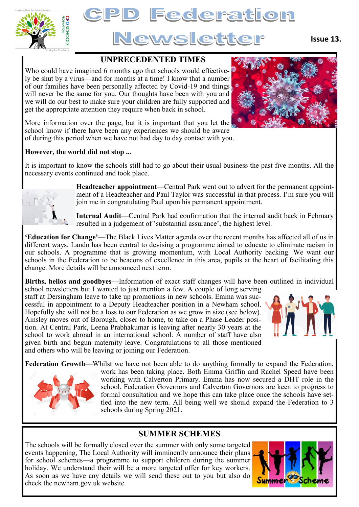

# **Federation** Newslette

### **UNPRECEDENTED TIMES**

Who could have imagined 6 months ago that schools would effectively be shut by a virus—and for months at a time! I know that a number of our families have been personally affected by Covid-19 and things will never be the same for you. Our thoughts have been with you and we will do our best to make sure your children are fully supported and get the appropriate attention they require when back in school.



More information over the page, but it is important that you let the school know if there have been any experiences we should be aware of during this period when we have not had day to day contact with you.

#### **However, the world did not stop ...**

It is important to know the schools still had to go about their usual business the past five months. All the necessary events continued and took place.



**Headteacher appointment**—Central Park went out to advert for the permanent appointment of a Headteacher and Paul Taylor was successful in that process. I'm sure you will join me in congratulating Paul upon his permanent appointment.

**Internal Audit**—Central Park had confirmation that the internal audit back in February resulted in a judgement of 'substantial assurance', the highest level.

**'Education for Change'**—The Black Lives Matter agenda over the recent months has affected all of us in different ways. Lando has been central to devising a programme aimed to educate to eliminate racism in our schools. A programme that is growing momentum, with Local Authority backing. We want our schools in the Federation to be beacons of excellence in this area, pupils at the heart of facilitating this change. More details will be announced next term.

**Births, hellos and goodbyes**—Information of exact staff changes will have been outlined in individual school newsletters but I wanted to just mention a few. A couple of long serving

staff at Dersingham leave to take up promotions in new schools. Emma was successful in appointment to a Deputy Headteacher position in a Newham school. Hopefully she will not be a loss to our Federation as we grow in size (see below). Ainsley moves out of Borough, closer to home, to take on a Phase Leader position. At Central Park, Leena Prabhakumar is leaving after nearly 30 years at the school to work abroad in an international school. A number of staff have also given birth and begun maternity leave. Congratulations to all those mentioned and others who will be leaving or joining our Federation.



**Federation Growth**—Whilst we have not been able to do anything formally to expand the Federation, work has been taking place. Both Emma Griffin and Rachel Speed have been



working with Calverton Primary. Emma has now secured a DHT role in the school. Federation Governors and Calverton Governors are keen to progress to formal consultation and we hope this can take place once the schools have settled into the new term. All being well we should expand the Federation to 3 schools during Spring 2021.

# **SUMMER SCHEMES**

The schools will be formally closed over the summer with only some targeted events happening, The Local Authority will imminently announce their plans for school schemes—a programme to support children during the summer holiday. We understand their will be a more targeted offer for key workers. As soon as we have any details we will send these out to you but also do check the newham.gov.uk website.